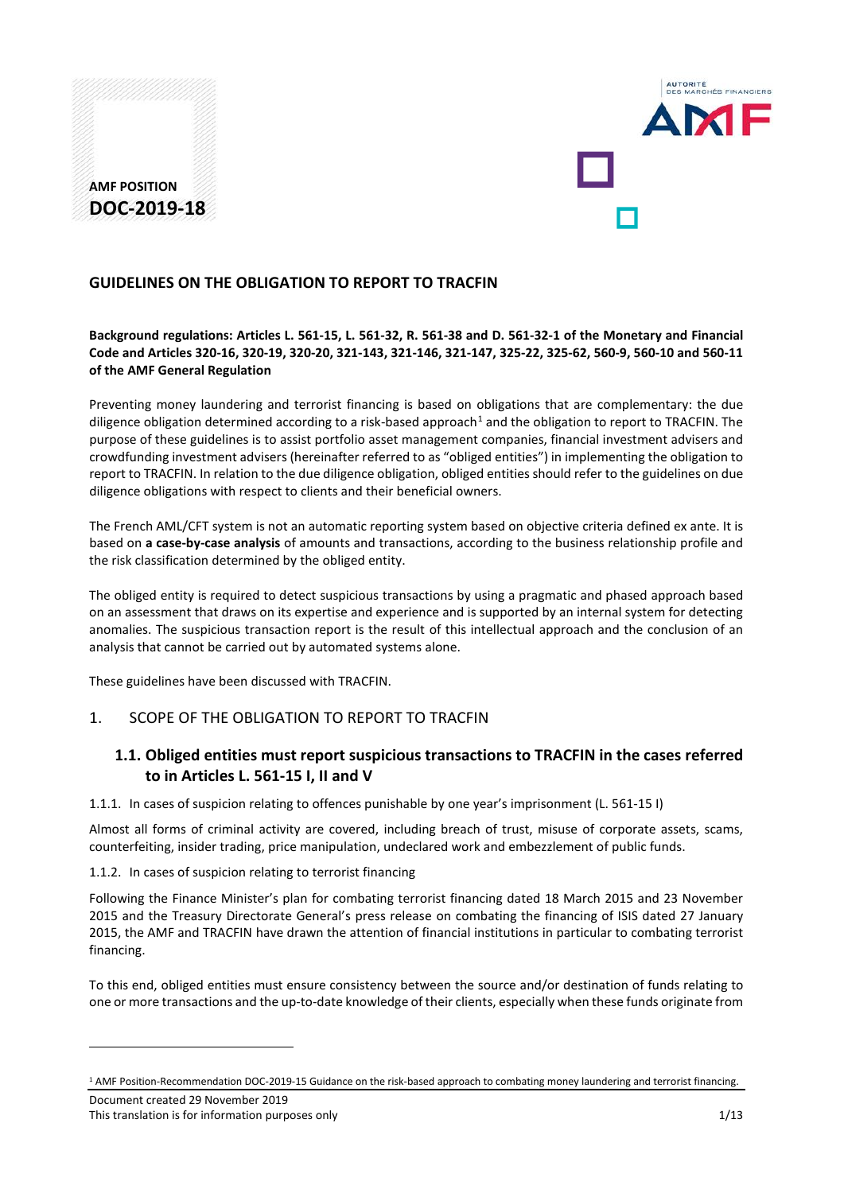



### **GUIDELINES ON THE OBLIGATION TO REPORT TO TRACFIN**

### **Background regulations: Articles L. 561-15, L. 561-32, R. 561-38 and D. 561-32-1 of the Monetary and Financial Code and Articles 320-16, 320-19, 320-20, 321-143, 321-146, 321-147, 325-22, 325-62, 560-9, 560-10 and 560-11 of the AMF General Regulation**

Preventing money laundering and terrorist financing is based on obligations that are complementary: the due diligence obligation determined according to a risk-based approach<sup>[1](#page-0-0)</sup> and the obligation to report to TRACFIN. The purpose of these guidelines is to assist portfolio asset management companies, financial investment advisers and crowdfunding investment advisers (hereinafter referred to as "obliged entities") in implementing the obligation to report to TRACFIN. In relation to the due diligence obligation, obliged entities should refer to the guidelines on due diligence obligations with respect to clients and their beneficial owners.

The French AML/CFT system is not an automatic reporting system based on objective criteria defined ex ante. It is based on **a case-by-case analysis** of amounts and transactions, according to the business relationship profile and the risk classification determined by the obliged entity.

The obliged entity is required to detect suspicious transactions by using a pragmatic and phased approach based on an assessment that draws on its expertise and experience and is supported by an internal system for detecting anomalies. The suspicious transaction report is the result of this intellectual approach and the conclusion of an analysis that cannot be carried out by automated systems alone.

These guidelines have been discussed with TRACFIN.

## 1. SCOPE OF THE OBLIGATION TO REPORT TO TRACFIN

# **1.1. Obliged entities must report suspicious transactions to TRACFIN in the cases referred to in Articles L. 561-15 I, II and V**

1.1.1. In cases of suspicion relating to offences punishable by one year's imprisonment (L. 561-15 I)

Almost all forms of criminal activity are covered, including breach of trust, misuse of corporate assets, scams, counterfeiting, insider trading, price manipulation, undeclared work and embezzlement of public funds.

1.1.2. In cases of suspicion relating to terrorist financing

Following the Finance Minister's plan for combating terrorist financing dated 18 March 2015 and 23 November 2015 and the Treasury Directorate General's press release on combating the financing of ISIS dated 27 January 2015, the AMF and TRACFIN have drawn the attention of financial institutions in particular to combating terrorist financing.

To this end, obliged entities must ensure consistency between the source and/or destination of funds relating to one or more transactions and the up-to-date knowledge of their clients, especially when these funds originate from

<span id="page-0-0"></span><sup>1</sup> AMF Position-Recommendation DOC-2019-15 Guidance on the risk-based approach to combating money laundering and terrorist financing.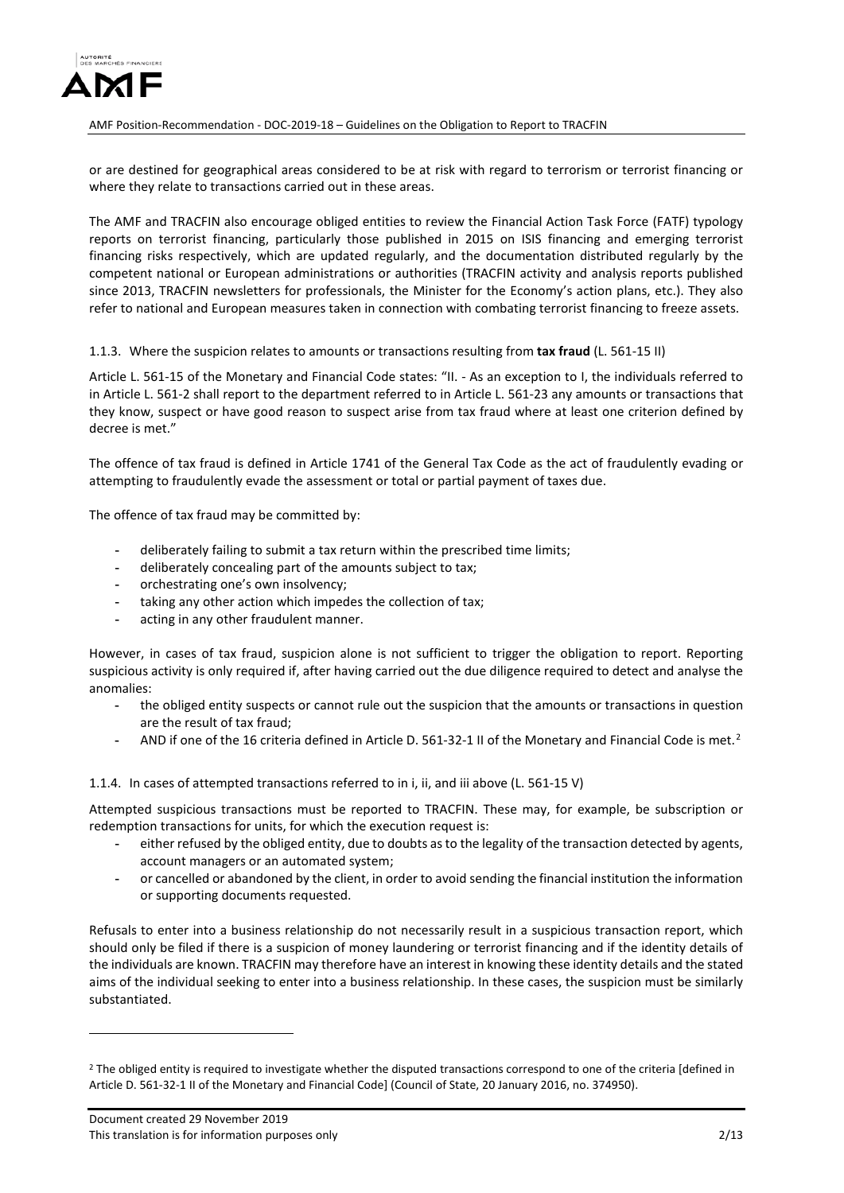

or are destined for geographical areas considered to be at risk with regard to terrorism or terrorist financing or where they relate to transactions carried out in these areas.

The AMF and TRACFIN also encourage obliged entities to review the Financial Action Task Force (FATF) typology reports on terrorist financing, particularly those published in 2015 on ISIS financing and emerging terrorist financing risks respectively, which are updated regularly, and the documentation distributed regularly by the competent national or European administrations or authorities (TRACFIN activity and analysis reports published since 2013, TRACFIN newsletters for professionals, the Minister for the Economy's action plans, etc.). They also refer to national and European measures taken in connection with combating terrorist financing to freeze assets.

1.1.3. Where the suspicion relates to amounts or transactions resulting from **tax fraud** (L. 561-15 II)

Article L. 561-15 of the Monetary and Financial Code states: "II. - As an exception to I, the individuals referred to in Article L. 561-2 shall report to the department referred to in Article L. 561-23 any amounts or transactions that they know, suspect or have good reason to suspect arise from tax fraud where at least one criterion defined by decree is met."

The offence of tax fraud is defined in Article 1741 of the General Tax Code as the act of fraudulently evading or attempting to fraudulently evade the assessment or total or partial payment of taxes due.

The offence of tax fraud may be committed by:

- **-** deliberately failing to submit a tax return within the prescribed time limits;
- **-** deliberately concealing part of the amounts subject to tax;
- **-** orchestrating one's own insolvency;
- **-** taking any other action which impedes the collection of tax;
- **-** acting in any other fraudulent manner.

However, in cases of tax fraud, suspicion alone is not sufficient to trigger the obligation to report. Reporting suspicious activity is only required if, after having carried out the due diligence required to detect and analyse the anomalies:

- **-** the obliged entity suspects or cannot rule out the suspicion that the amounts or transactions in question are the result of tax fraud;
- **-** AND if one of the 16 criteria defined in Article D. 561-32-1 II of the Monetary and Financial Code is met.[2](#page-1-0)

1.1.4. In cases of attempted transactions referred to in i, ii, and iii above (L. 561-15 V)

Attempted suspicious transactions must be reported to TRACFIN. These may, for example, be subscription or redemption transactions for units, for which the execution request is:

- **-** either refused by the obliged entity, due to doubts as to the legality of the transaction detected by agents, account managers or an automated system;
- **-** or cancelled or abandoned by the client, in order to avoid sending the financial institution the information or supporting documents requested.

Refusals to enter into a business relationship do not necessarily result in a suspicious transaction report, which should only be filed if there is a suspicion of money laundering or terrorist financing and if the identity details of the individuals are known. TRACFIN may therefore have an interest in knowing these identity details and the stated aims of the individual seeking to enter into a business relationship. In these cases, the suspicion must be similarly substantiated.

<span id="page-1-0"></span><sup>&</sup>lt;sup>2</sup> The obliged entity is required to investigate whether the disputed transactions correspond to one of the criteria [defined in Article D. 561-32-1 II of the Monetary and Financial Code] (Council of State, 20 January 2016, no. 374950).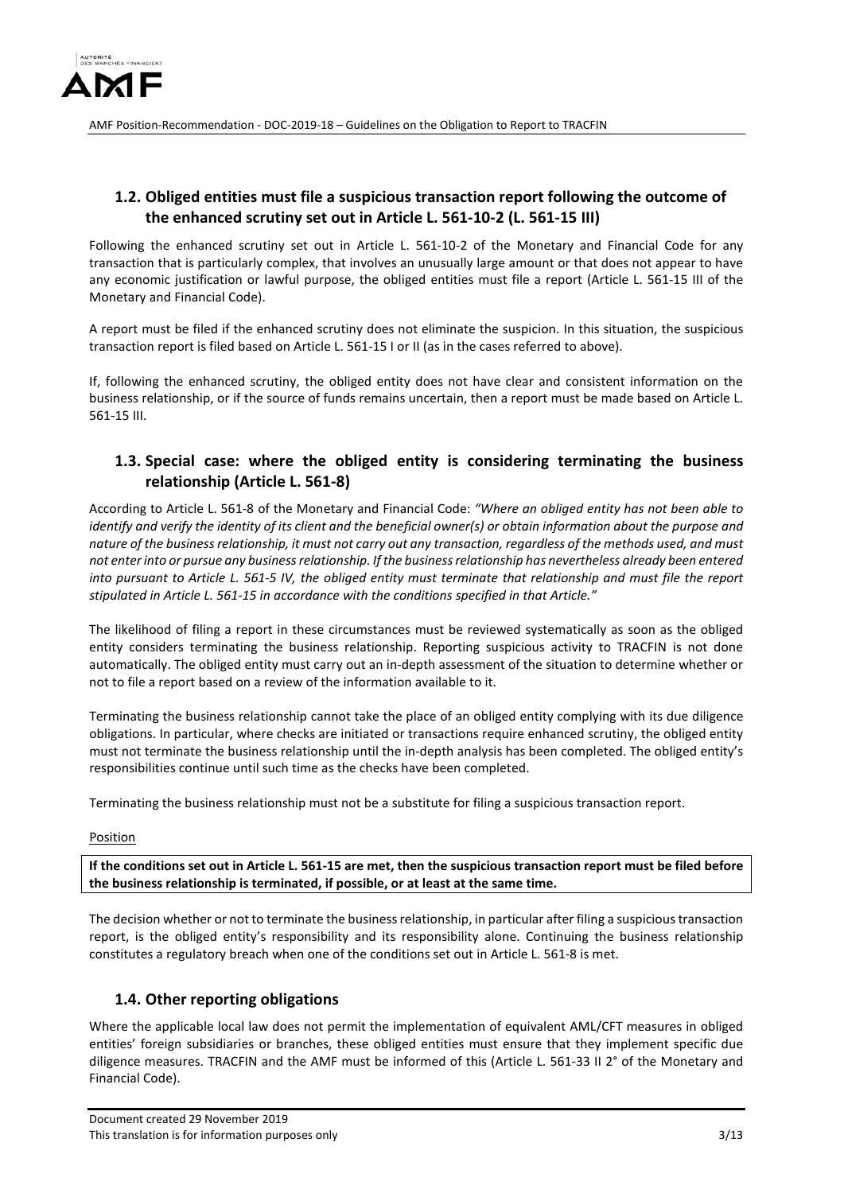

## **1.2. Obliged entities must file a suspicious transaction report following the outcome of the enhanced scrutiny set out in Article L. 561-10-2 (L. 561-15 III)**

Following the enhanced scrutiny set out in Article L. 561-10-2 of the Monetary and Financial Code for any transaction that is particularly complex, that involves an unusually large amount or that does not appear to have any economic justification or lawful purpose, the obliged entities must file a report (Article L. 561-15 III of the Monetary and Financial Code).

A report must be filed if the enhanced scrutiny does not eliminate the suspicion. In this situation, the suspicious transaction report is filed based on Article L. 561-15 I or II (as in the cases referred to above).

If, following the enhanced scrutiny, the obliged entity does not have clear and consistent information on the business relationship, or if the source of funds remains uncertain, then a report must be made based on Article L. 561-15 III.

# **1.3. Special case: where the obliged entity is considering terminating the business relationship (Article L. 561-8)**

According to Article L. 561-8 of the Monetary and Financial Code: *"Where an obliged entity has not been able to identify and verify the identity of its client and the beneficial owner(s) or obtain information about the purpose and nature of the business relationship, it must not carry out any transaction, regardless of the methods used, and must not enter into or pursue any business relationship. If the business relationship has nevertheless already been entered into pursuant to Article L. 561-5 IV, the obliged entity must terminate that relationship and must file the report stipulated in Article L. 561-15 in accordance with the conditions specified in that Article."*

The likelihood of filing a report in these circumstances must be reviewed systematically as soon as the obliged entity considers terminating the business relationship. Reporting suspicious activity to TRACFIN is not done automatically. The obliged entity must carry out an in-depth assessment of the situation to determine whether or not to file a report based on a review of the information available to it.

Terminating the business relationship cannot take the place of an obliged entity complying with its due diligence obligations. In particular, where checks are initiated or transactions require enhanced scrutiny, the obliged entity must not terminate the business relationship until the in-depth analysis has been completed. The obliged entity's responsibilities continue until such time as the checks have been completed.

Terminating the business relationship must not be a substitute for filing a suspicious transaction report.

Position

**If the conditions set out in Article L. 561-15 are met, then the suspicious transaction report must be filed before the business relationship is terminated, if possible, or at least at the same time.** 

The decision whether or not to terminate the business relationship, in particular after filing a suspicious transaction report, is the obliged entity's responsibility and its responsibility alone. Continuing the business relationship constitutes a regulatory breach when one of the conditions set out in Article L. 561-8 is met.

# **1.4. Other reporting obligations**

Where the applicable local law does not permit the implementation of equivalent AML/CFT measures in obliged entities' foreign subsidiaries or branches, these obliged entities must ensure that they implement specific due diligence measures. TRACFIN and the AMF must be informed of this (Article L. 561-33 II 2° of the Monetary and Financial Code).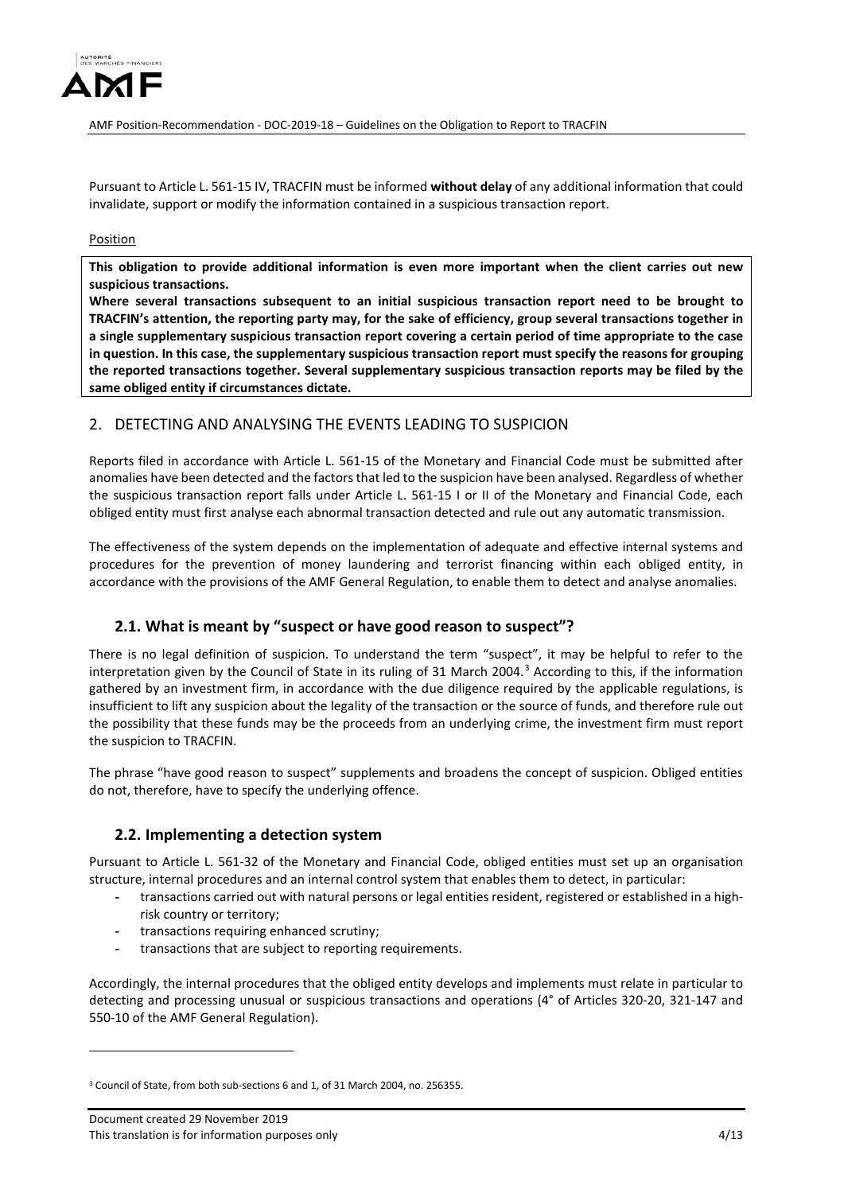

Pursuant to Article L. 561-15 IV, TRACFIN must be informed **without delay** of any additional information that could invalidate, support or modify the information contained in a suspicious transaction report.

#### Position

**This obligation to provide additional information is even more important when the client carries out new suspicious transactions.** 

**Where several transactions subsequent to an initial suspicious transaction report need to be brought to TRACFIN's attention, the reporting party may, for the sake of efficiency, group several transactions together in a single supplementary suspicious transaction report covering a certain period of time appropriate to the case in question. In this case, the supplementary suspicious transaction report must specify the reasons for grouping the reported transactions together. Several supplementary suspicious transaction reports may be filed by the same obliged entity if circumstances dictate.**

## 2. DETECTING AND ANALYSING THE EVENTS LEADING TO SUSPICION

Reports filed in accordance with Article L. 561-15 of the Monetary and Financial Code must be submitted after anomalies have been detected and the factors that led to the suspicion have been analysed. Regardless of whether the suspicious transaction report falls under Article L. 561-15 I or II of the Monetary and Financial Code, each obliged entity must first analyse each abnormal transaction detected and rule out any automatic transmission.

The effectiveness of the system depends on the implementation of adequate and effective internal systems and procedures for the prevention of money laundering and terrorist financing within each obliged entity, in accordance with the provisions of the AMF General Regulation, to enable them to detect and analyse anomalies.

## **2.1. What is meant by "suspect or have good reason to suspect"?**

There is no legal definition of suspicion. To understand the term "suspect", it may be helpful to refer to the interpretation given by the Council of State in its ruling of 31 March 2004.[3](#page-3-0) According to this, if the information gathered by an investment firm, in accordance with the due diligence required by the applicable regulations, is insufficient to lift any suspicion about the legality of the transaction or the source of funds, and therefore rule out the possibility that these funds may be the proceeds from an underlying crime, the investment firm must report the suspicion to TRACFIN.

The phrase "have good reason to suspect" supplements and broadens the concept of suspicion. Obliged entities do not, therefore, have to specify the underlying offence.

## **2.2. Implementing a detection system**

Pursuant to Article L. 561-32 of the Monetary and Financial Code, obliged entities must set up an organisation structure, internal procedures and an internal control system that enables them to detect, in particular:

- **-** transactions carried out with natural persons or legal entities resident, registered or established in a highrisk country or territory;
- **-** transactions requiring enhanced scrutiny;
- **-** transactions that are subject to reporting requirements.

Accordingly, the internal procedures that the obliged entity develops and implements must relate in particular to detecting and processing unusual or suspicious transactions and operations (4° of Articles 320-20, 321-147 and 550-10 of the AMF General Regulation).

<u>.</u>

<span id="page-3-0"></span> $3$  Council of State, from both sub-sections 6 and 1, of 31 March 2004, no. 256355.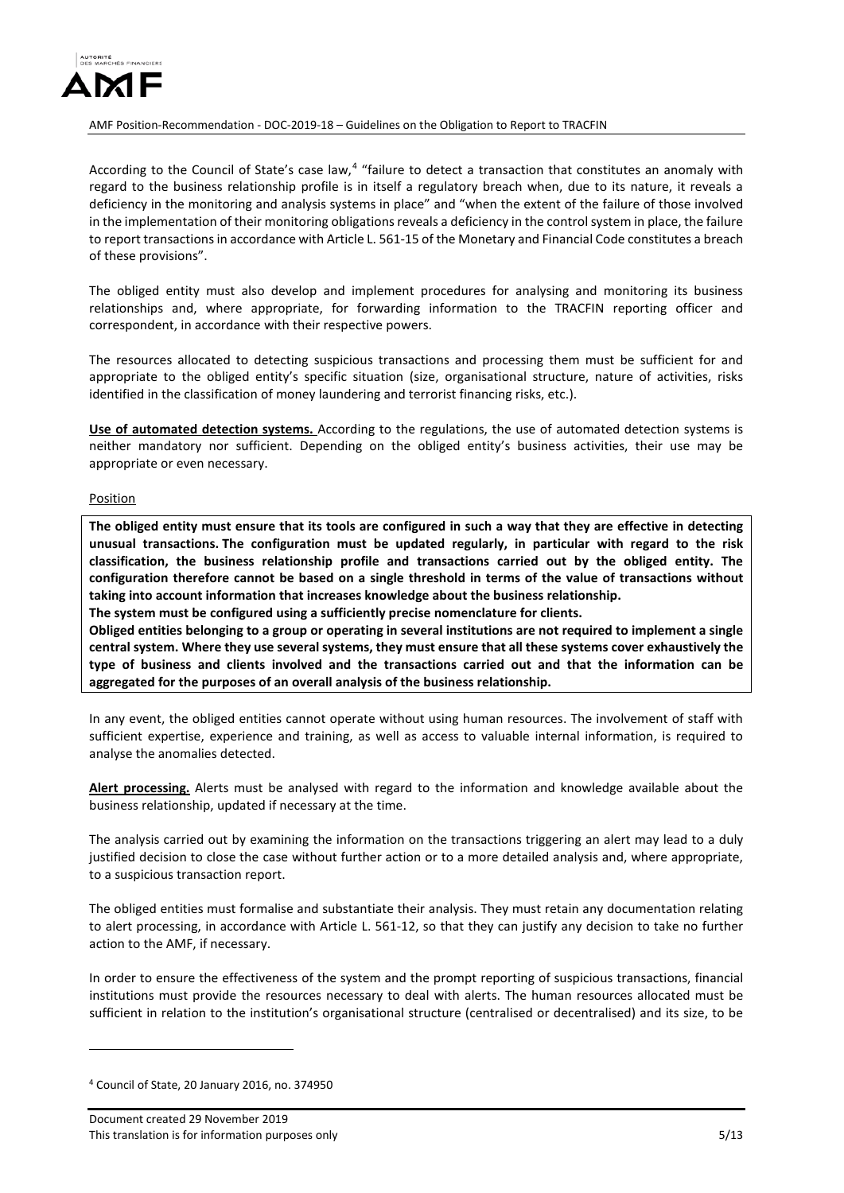

According to the Council of State's case law, $4$  "failure to detect a transaction that constitutes an anomaly with regard to the business relationship profile is in itself a regulatory breach when, due to its nature, it reveals a deficiency in the monitoring and analysis systems in place" and "when the extent of the failure of those involved in the implementation of their monitoring obligations reveals a deficiency in the control system in place, the failure to report transactions in accordance with Article L. 561-15 of the Monetary and Financial Code constitutes a breach of these provisions".

The obliged entity must also develop and implement procedures for analysing and monitoring its business relationships and, where appropriate, for forwarding information to the TRACFIN reporting officer and correspondent, in accordance with their respective powers.

The resources allocated to detecting suspicious transactions and processing them must be sufficient for and appropriate to the obliged entity's specific situation (size, organisational structure, nature of activities, risks identified in the classification of money laundering and terrorist financing risks, etc.).

**Use of automated detection systems.** According to the regulations, the use of automated detection systems is neither mandatory nor sufficient. Depending on the obliged entity's business activities, their use may be appropriate or even necessary.

#### Position

**The obliged entity must ensure that its tools are configured in such a way that they are effective in detecting unusual transactions. The configuration must be updated regularly, in particular with regard to the risk classification, the business relationship profile and transactions carried out by the obliged entity. The configuration therefore cannot be based on a single threshold in terms of the value of transactions without taking into account information that increases knowledge about the business relationship.**

**The system must be configured using a sufficiently precise nomenclature for clients.** 

**Obliged entities belonging to a group or operating in several institutions are not required to implement a single central system. Where they use several systems, they must ensure that all these systems cover exhaustively the type of business and clients involved and the transactions carried out and that the information can be aggregated for the purposes of an overall analysis of the business relationship.** 

In any event, the obliged entities cannot operate without using human resources. The involvement of staff with sufficient expertise, experience and training, as well as access to valuable internal information, is required to analyse the anomalies detected.

**Alert processing.** Alerts must be analysed with regard to the information and knowledge available about the business relationship, updated if necessary at the time.

The analysis carried out by examining the information on the transactions triggering an alert may lead to a duly justified decision to close the case without further action or to a more detailed analysis and, where appropriate, to a suspicious transaction report.

The obliged entities must formalise and substantiate their analysis. They must retain any documentation relating to alert processing, in accordance with Article L. 561-12, so that they can justify any decision to take no further action to the AMF, if necessary.

In order to ensure the effectiveness of the system and the prompt reporting of suspicious transactions, financial institutions must provide the resources necessary to deal with alerts. The human resources allocated must be sufficient in relation to the institution's organisational structure (centralised or decentralised) and its size, to be

<span id="page-4-0"></span><sup>4</sup> Council of State, 20 January 2016, no. 374950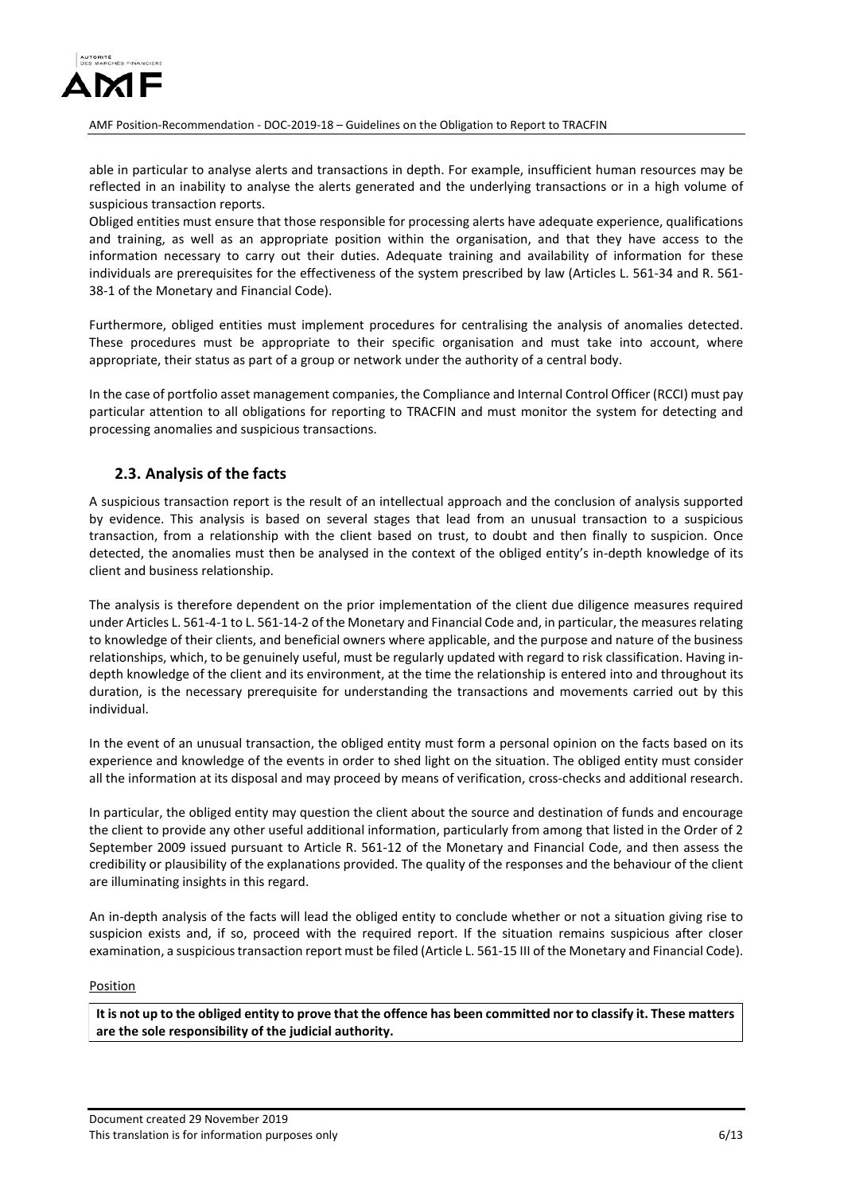

able in particular to analyse alerts and transactions in depth. For example, insufficient human resources may be reflected in an inability to analyse the alerts generated and the underlying transactions or in a high volume of suspicious transaction reports.

Obliged entities must ensure that those responsible for processing alerts have adequate experience, qualifications and training, as well as an appropriate position within the organisation, and that they have access to the information necessary to carry out their duties. Adequate training and availability of information for these individuals are prerequisites for the effectiveness of the system prescribed by law (Articles L. 561-34 and R. 561- 38-1 of the Monetary and Financial Code).

Furthermore, obliged entities must implement procedures for centralising the analysis of anomalies detected. These procedures must be appropriate to their specific organisation and must take into account, where appropriate, their status as part of a group or network under the authority of a central body.

In the case of portfolio asset management companies, the Compliance and Internal Control Officer (RCCI) must pay particular attention to all obligations for reporting to TRACFIN and must monitor the system for detecting and processing anomalies and suspicious transactions.

# **2.3. Analysis of the facts**

A suspicious transaction report is the result of an intellectual approach and the conclusion of analysis supported by evidence. This analysis is based on several stages that lead from an unusual transaction to a suspicious transaction, from a relationship with the client based on trust, to doubt and then finally to suspicion. Once detected, the anomalies must then be analysed in the context of the obliged entity's in-depth knowledge of its client and business relationship.

The analysis is therefore dependent on the prior implementation of the client due diligence measures required under Articles L. 561-4-1 to L. 561-14-2 of the Monetary and Financial Code and, in particular, the measures relating to knowledge of their clients, and beneficial owners where applicable, and the purpose and nature of the business relationships, which, to be genuinely useful, must be regularly updated with regard to risk classification. Having indepth knowledge of the client and its environment, at the time the relationship is entered into and throughout its duration, is the necessary prerequisite for understanding the transactions and movements carried out by this individual.

In the event of an unusual transaction, the obliged entity must form a personal opinion on the facts based on its experience and knowledge of the events in order to shed light on the situation. The obliged entity must consider all the information at its disposal and may proceed by means of verification, cross-checks and additional research.

In particular, the obliged entity may question the client about the source and destination of funds and encourage the client to provide any other useful additional information, particularly from among that listed in the Order of 2 September 2009 issued pursuant to Article R. 561-12 of the Monetary and Financial Code, and then assess the credibility or plausibility of the explanations provided. The quality of the responses and the behaviour of the client are illuminating insights in this regard.

An in-depth analysis of the facts will lead the obliged entity to conclude whether or not a situation giving rise to suspicion exists and, if so, proceed with the required report. If the situation remains suspicious after closer examination, a suspicious transaction report must be filed (Article L. 561-15 III of the Monetary and Financial Code).

#### Position

**It is not up to the obliged entity to prove that the offence has been committed nor to classify it. These matters are the sole responsibility of the judicial authority.**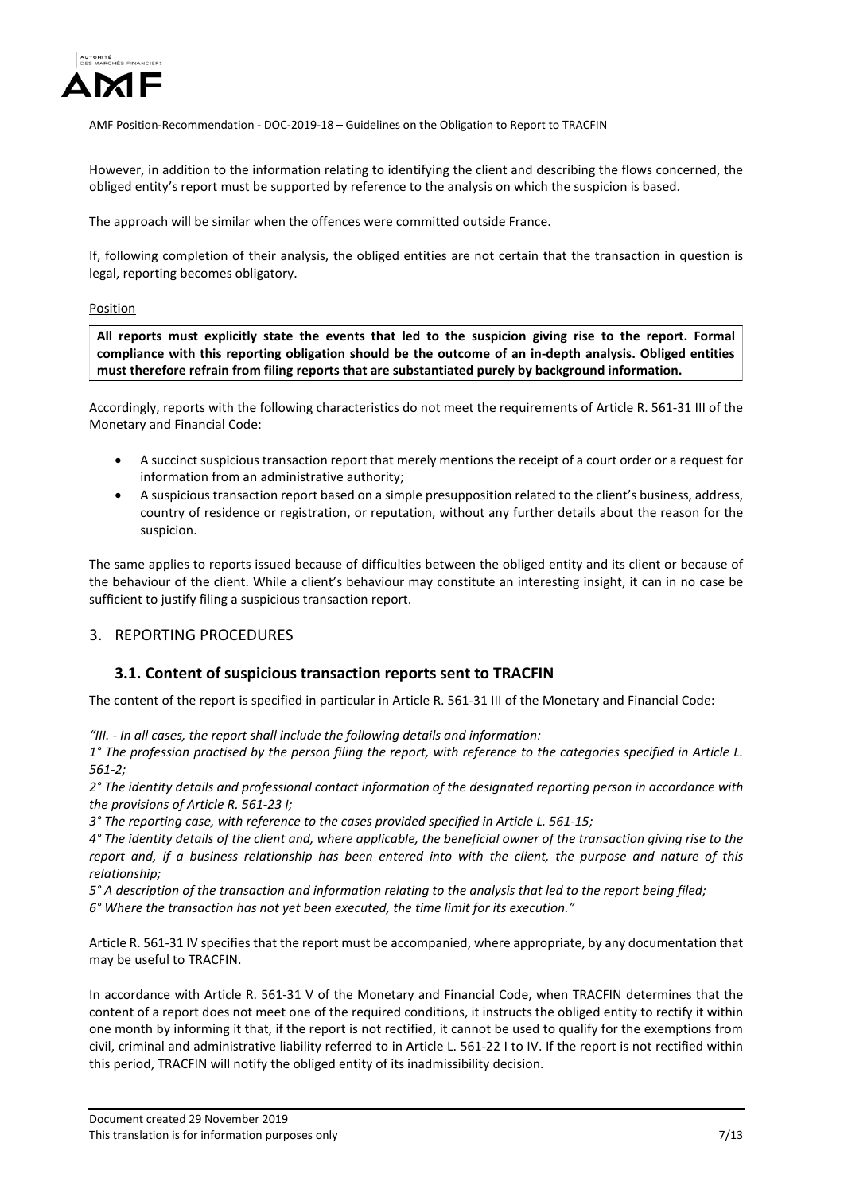

However, in addition to the information relating to identifying the client and describing the flows concerned, the obliged entity's report must be supported by reference to the analysis on which the suspicion is based.

The approach will be similar when the offences were committed outside France.

If, following completion of their analysis, the obliged entities are not certain that the transaction in question is legal, reporting becomes obligatory.

#### Position

**All reports must explicitly state the events that led to the suspicion giving rise to the report. Formal compliance with this reporting obligation should be the outcome of an in-depth analysis. Obliged entities must therefore refrain from filing reports that are substantiated purely by background information.**

Accordingly, reports with the following characteristics do not meet the requirements of Article R. 561-31 III of the Monetary and Financial Code:

- A succinct suspicious transaction report that merely mentions the receipt of a court order or a request for information from an administrative authority;
- A suspicious transaction report based on a simple presupposition related to the client's business, address, country of residence or registration, or reputation, without any further details about the reason for the suspicion.

The same applies to reports issued because of difficulties between the obliged entity and its client or because of the behaviour of the client. While a client's behaviour may constitute an interesting insight, it can in no case be sufficient to justify filing a suspicious transaction report.

### 3. REPORTING PROCEDURES

### **3.1. Content of suspicious transaction reports sent to TRACFIN**

The content of the report is specified in particular in Article R. 561-31 III of the Monetary and Financial Code:

*"III. - In all cases, the report shall include the following details and information:* 

*1° The profession practised by the person filing the report, with reference to the categories specified in Article L. 561-2;* 

*2° The identity details and professional contact information of the designated reporting person in accordance with the provisions of Article R. 561-23 I;* 

*3° The reporting case, with reference to the cases provided specified in Article L. 561-15;* 

*4° The identity details of the client and, where applicable, the beneficial owner of the transaction giving rise to the report and, if a business relationship has been entered into with the client, the purpose and nature of this relationship;* 

*5° A description of the transaction and information relating to the analysis that led to the report being filed;* 

*6° Where the transaction has not yet been executed, the time limit for its execution."* 

Article R. 561-31 IV specifies that the report must be accompanied, where appropriate, by any documentation that may be useful to TRACFIN.

In accordance with Article R. 561-31 V of the Monetary and Financial Code, when TRACFIN determines that the content of a report does not meet one of the required conditions, it instructs the obliged entity to rectify it within one month by informing it that, if the report is not rectified, it cannot be used to qualify for the exemptions from civil, criminal and administrative liability referred to in Article L. 561-22 I to IV. If the report is not rectified within this period, TRACFIN will notify the obliged entity of its inadmissibility decision.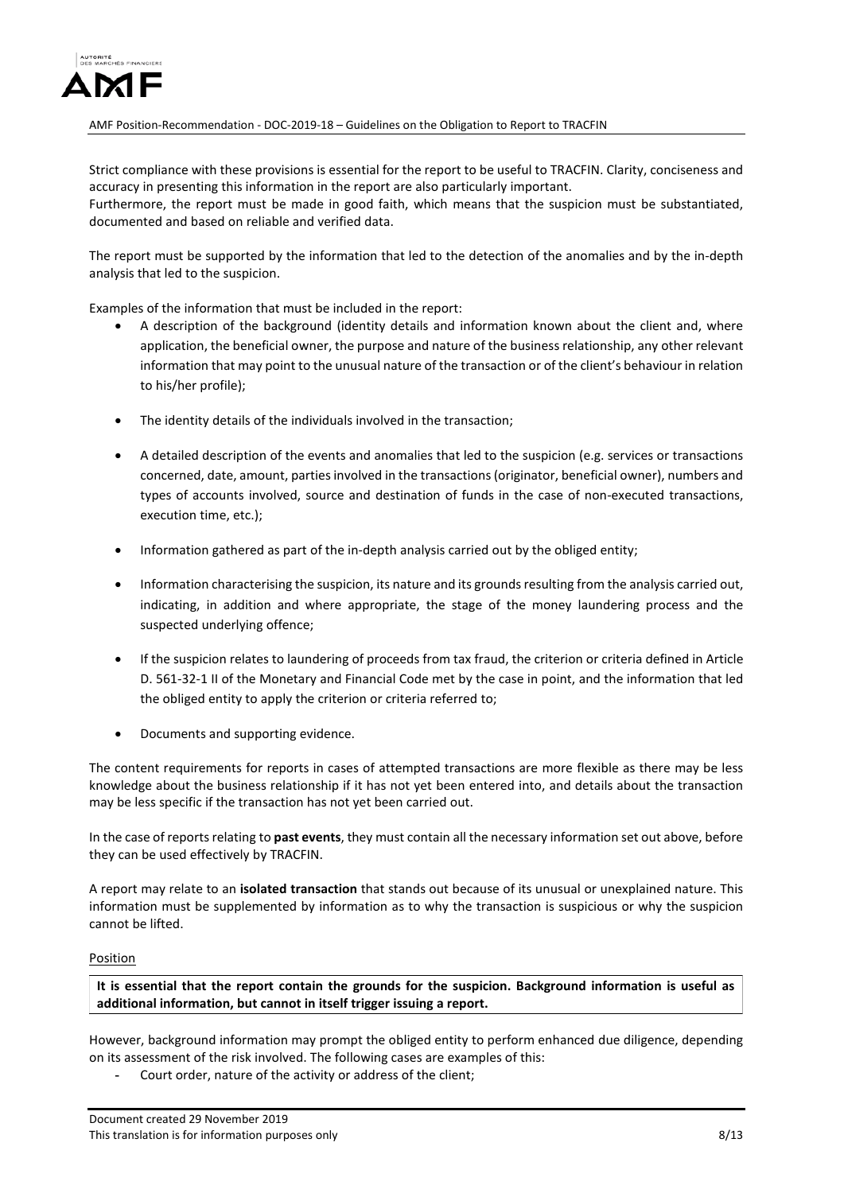

Strict compliance with these provisions is essential for the report to be useful to TRACFIN. Clarity, conciseness and accuracy in presenting this information in the report are also particularly important.

Furthermore, the report must be made in good faith, which means that the suspicion must be substantiated, documented and based on reliable and verified data.

The report must be supported by the information that led to the detection of the anomalies and by the in-depth analysis that led to the suspicion.

Examples of the information that must be included in the report:

- A description of the background (identity details and information known about the client and, where application, the beneficial owner, the purpose and nature of the business relationship, any other relevant information that may point to the unusual nature of the transaction or of the client's behaviour in relation to his/her profile);
- The identity details of the individuals involved in the transaction;
- A detailed description of the events and anomalies that led to the suspicion (e.g. services or transactions concerned, date, amount, parties involved in the transactions (originator, beneficial owner), numbers and types of accounts involved, source and destination of funds in the case of non-executed transactions, execution time, etc.);
- Information gathered as part of the in-depth analysis carried out by the obliged entity;
- Information characterising the suspicion, its nature and its grounds resulting from the analysis carried out, indicating, in addition and where appropriate, the stage of the money laundering process and the suspected underlying offence;
- If the suspicion relates to laundering of proceeds from tax fraud, the criterion or criteria defined in Article D. 561-32-1 II of the Monetary and Financial Code met by the case in point, and the information that led the obliged entity to apply the criterion or criteria referred to;
- Documents and supporting evidence.

The content requirements for reports in cases of attempted transactions are more flexible as there may be less knowledge about the business relationship if it has not yet been entered into, and details about the transaction may be less specific if the transaction has not yet been carried out.

In the case of reports relating to **past events**, they must contain all the necessary information set out above, before they can be used effectively by TRACFIN.

A report may relate to an **isolated transaction** that stands out because of its unusual or unexplained nature. This information must be supplemented by information as to why the transaction is suspicious or why the suspicion cannot be lifted.

#### Position

**It is essential that the report contain the grounds for the suspicion. Background information is useful as additional information, but cannot in itself trigger issuing a report.**

However, background information may prompt the obliged entity to perform enhanced due diligence, depending on its assessment of the risk involved. The following cases are examples of this:

**-** Court order, nature of the activity or address of the client;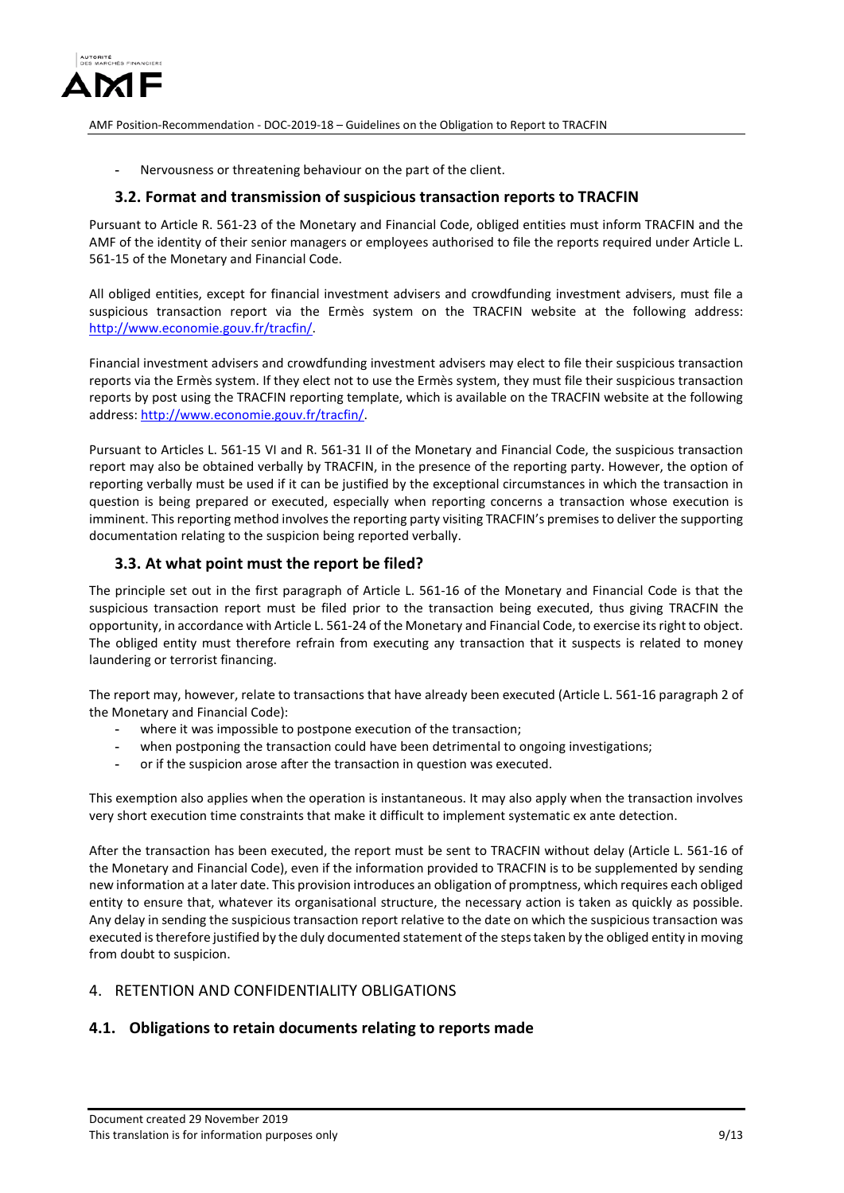

**-** Nervousness or threatening behaviour on the part of the client.

### **3.2. Format and transmission of suspicious transaction reports to TRACFIN**

Pursuant to Article R. 561-23 of the Monetary and Financial Code, obliged entities must inform TRACFIN and the AMF of the identity of their senior managers or employees authorised to file the reports required under Article L. 561-15 of the Monetary and Financial Code.

All obliged entities, except for financial investment advisers and crowdfunding investment advisers, must file a suspicious transaction report via the Ermès system on the TRACFIN website at the following address: [http://www.economie.gouv.fr/tracfin/.](http://www.economie.gouv.fr/tracfin/)

Financial investment advisers and crowdfunding investment advisers may elect to file their suspicious transaction reports via the Ermès system. If they elect not to use the Ermès system, they must file their suspicious transaction reports by post using the TRACFIN reporting template, which is available on the TRACFIN website at the following address[: http://www.economie.gouv.fr/tracfin/.](http://www.economie.gouv.fr/tracfin/)

Pursuant to Articles L. 561-15 VI and R. 561-31 II of the Monetary and Financial Code, the suspicious transaction report may also be obtained verbally by TRACFIN, in the presence of the reporting party. However, the option of reporting verbally must be used if it can be justified by the exceptional circumstances in which the transaction in question is being prepared or executed, especially when reporting concerns a transaction whose execution is imminent. This reporting method involves the reporting party visiting TRACFIN's premises to deliver the supporting documentation relating to the suspicion being reported verbally.

### **3.3. At what point must the report be filed?**

The principle set out in the first paragraph of Article L. 561-16 of the Monetary and Financial Code is that the suspicious transaction report must be filed prior to the transaction being executed, thus giving TRACFIN the opportunity, in accordance with Article L. 561-24 of the Monetary and Financial Code, to exercise its right to object. The obliged entity must therefore refrain from executing any transaction that it suspects is related to money laundering or terrorist financing.

The report may, however, relate to transactions that have already been executed (Article L. 561-16 paragraph 2 of the Monetary and Financial Code):

- where it was impossible to postpone execution of the transaction;
- **-** when postponing the transaction could have been detrimental to ongoing investigations;
- **-** or if the suspicion arose after the transaction in question was executed.

This exemption also applies when the operation is instantaneous. It may also apply when the transaction involves very short execution time constraints that make it difficult to implement systematic ex ante detection.

After the transaction has been executed, the report must be sent to TRACFIN without delay (Article L. 561-16 of the Monetary and Financial Code), even if the information provided to TRACFIN is to be supplemented by sending new information at a later date. This provision introduces an obligation of promptness, which requires each obliged entity to ensure that, whatever its organisational structure, the necessary action is taken as quickly as possible. Any delay in sending the suspicious transaction report relative to the date on which the suspicious transaction was executed is therefore justified by the duly documented statement of the steps taken by the obliged entity in moving from doubt to suspicion.

### 4. RETENTION AND CONFIDENTIALITY OBLIGATIONS

## **4.1. Obligations to retain documents relating to reports made**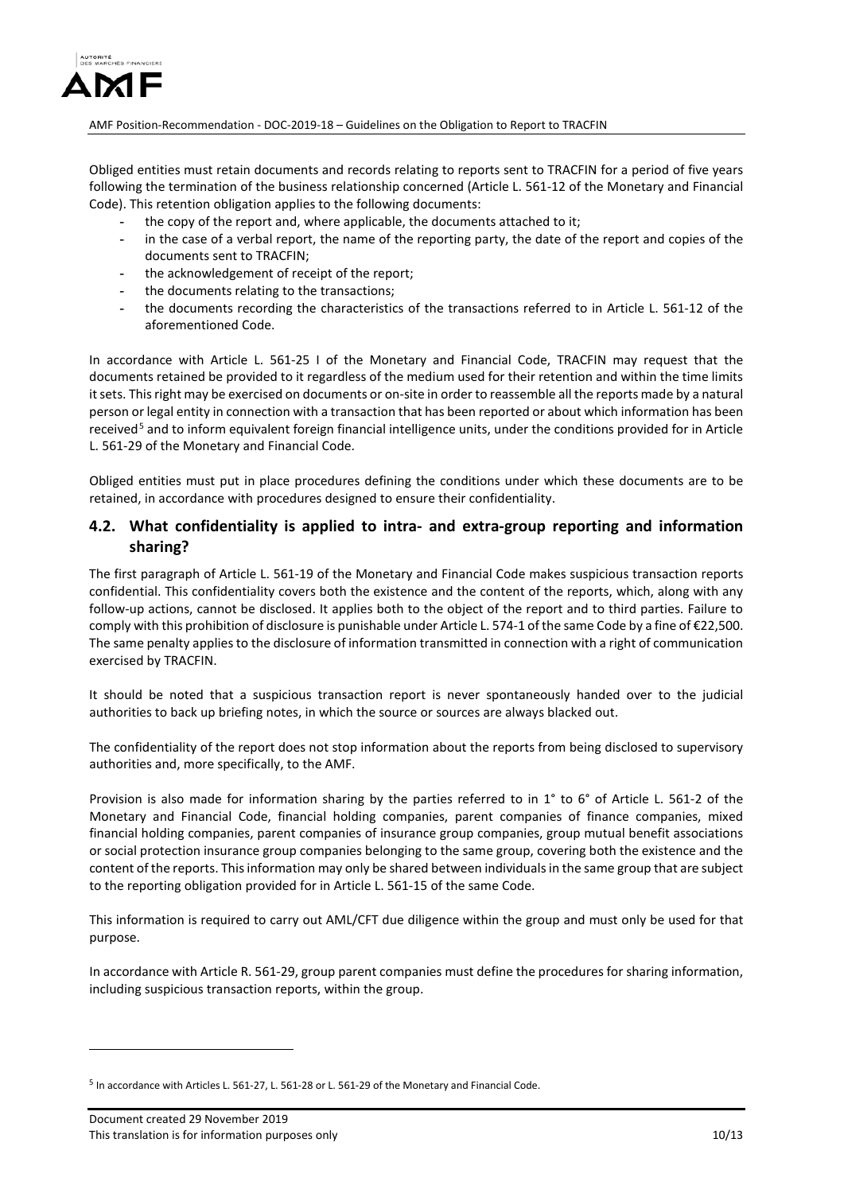

Obliged entities must retain documents and records relating to reports sent to TRACFIN for a period of five years following the termination of the business relationship concerned (Article L. 561-12 of the Monetary and Financial Code). This retention obligation applies to the following documents:

- **-** the copy of the report and, where applicable, the documents attached to it;
- **-** in the case of a verbal report, the name of the reporting party, the date of the report and copies of the documents sent to TRACFIN;
- **-** the acknowledgement of receipt of the report;
- **-** the documents relating to the transactions;
- **-** the documents recording the characteristics of the transactions referred to in Article L. 561-12 of the aforementioned Code.

In accordance with Article L. 561-25 I of the Monetary and Financial Code, TRACFIN may request that the documents retained be provided to it regardless of the medium used for their retention and within the time limits it sets. This right may be exercised on documents or on-site in order to reassemble all the reports made by a natural person or legal entity in connection with a transaction that has been reported or about which information has been received<sup>[5](#page-9-0)</sup> and to inform equivalent foreign financial intelligence units, under the conditions provided for in Article L. 561-29 of the Monetary and Financial Code.

Obliged entities must put in place procedures defining the conditions under which these documents are to be retained, in accordance with procedures designed to ensure their confidentiality.

### **4.2. What confidentiality is applied to intra- and extra-group reporting and information sharing?**

The first paragraph of Article L. 561-19 of the Monetary and Financial Code makes suspicious transaction reports confidential. This confidentiality covers both the existence and the content of the reports, which, along with any follow-up actions, cannot be disclosed. It applies both to the object of the report and to third parties. Failure to comply with this prohibition of disclosure is punishable under Article L. 574-1 of the same Code by a fine of €22,500. The same penalty applies to the disclosure of information transmitted in connection with a right of communication exercised by TRACFIN.

It should be noted that a suspicious transaction report is never spontaneously handed over to the judicial authorities to back up briefing notes, in which the source or sources are always blacked out.

The confidentiality of the report does not stop information about the reports from being disclosed to supervisory authorities and, more specifically, to the AMF.

Provision is also made for information sharing by the parties referred to in 1° to 6° of Article L. 561-2 of the Monetary and Financial Code, financial holding companies, parent companies of finance companies, mixed financial holding companies, parent companies of insurance group companies, group mutual benefit associations or social protection insurance group companies belonging to the same group, covering both the existence and the content of the reports. This information may only be shared between individuals in the same group that are subject to the reporting obligation provided for in Article L. 561-15 of the same Code.

This information is required to carry out AML/CFT due diligence within the group and must only be used for that purpose.

In accordance with Article R. 561-29, group parent companies must define the procedures for sharing information, including suspicious transaction reports, within the group.

<span id="page-9-0"></span><sup>5</sup> In accordance with Articles L. 561-27, L. 561-28 or L. 561-29 of the Monetary and Financial Code.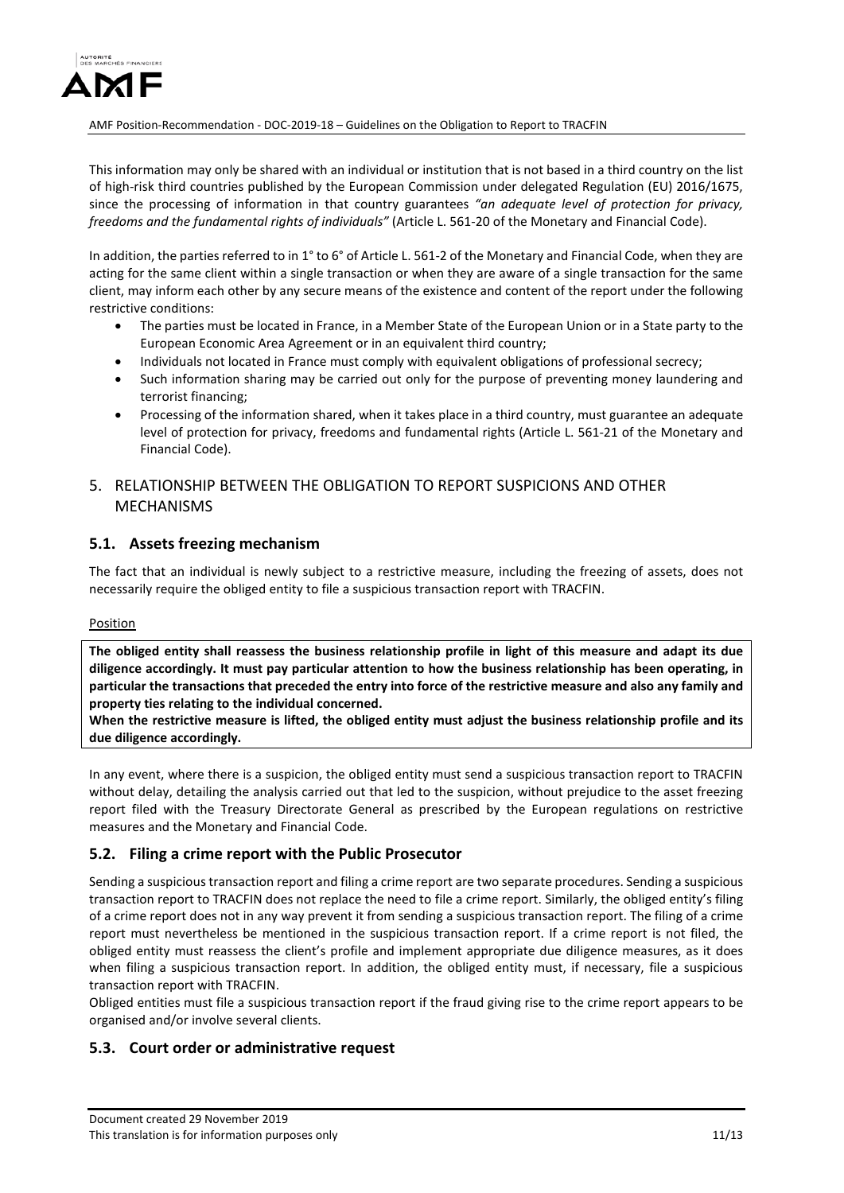

This information may only be shared with an individual or institution that is not based in a third country on the list of high-risk third countries published by the European Commission under delegated Regulation (EU) 2016/1675, since the processing of information in that country guarantees *"an adequate level of protection for privacy, freedoms and the fundamental rights of individuals"* (Article L. 561-20 of the Monetary and Financial Code).

In addition, the parties referred to in 1° to 6° of Article L. 561-2 of the Monetary and Financial Code, when they are acting for the same client within a single transaction or when they are aware of a single transaction for the same client, may inform each other by any secure means of the existence and content of the report under the following restrictive conditions:

- The parties must be located in France, in a Member State of the European Union or in a State party to the European Economic Area Agreement or in an equivalent third country;
- Individuals not located in France must comply with equivalent obligations of professional secrecy;
- Such information sharing may be carried out only for the purpose of preventing money laundering and terrorist financing;
- Processing of the information shared, when it takes place in a third country, must guarantee an adequate level of protection for privacy, freedoms and fundamental rights (Article L. 561-21 of the Monetary and Financial Code).

# 5. RELATIONSHIP BETWEEN THE OBLIGATION TO REPORT SUSPICIONS AND OTHER MECHANISMS

### **5.1. Assets freezing mechanism**

The fact that an individual is newly subject to a restrictive measure, including the freezing of assets, does not necessarily require the obliged entity to file a suspicious transaction report with TRACFIN.

#### **Position**

**The obliged entity shall reassess the business relationship profile in light of this measure and adapt its due diligence accordingly. It must pay particular attention to how the business relationship has been operating, in particular the transactions that preceded the entry into force of the restrictive measure and also any family and property ties relating to the individual concerned.**

**When the restrictive measure is lifted, the obliged entity must adjust the business relationship profile and its due diligence accordingly.**

In any event, where there is a suspicion, the obliged entity must send a suspicious transaction report to TRACFIN without delay, detailing the analysis carried out that led to the suspicion, without prejudice to the asset freezing report filed with the Treasury Directorate General as prescribed by the European regulations on restrictive measures and the Monetary and Financial Code.

## **5.2. Filing a crime report with the Public Prosecutor**

Sending a suspicious transaction report and filing a crime report are two separate procedures. Sending a suspicious transaction report to TRACFIN does not replace the need to file a crime report. Similarly, the obliged entity's filing of a crime report does not in any way prevent it from sending a suspicious transaction report. The filing of a crime report must nevertheless be mentioned in the suspicious transaction report. If a crime report is not filed, the obliged entity must reassess the client's profile and implement appropriate due diligence measures, as it does when filing a suspicious transaction report. In addition, the obliged entity must, if necessary, file a suspicious transaction report with TRACFIN.

Obliged entities must file a suspicious transaction report if the fraud giving rise to the crime report appears to be organised and/or involve several clients.

### **5.3. Court order or administrative request**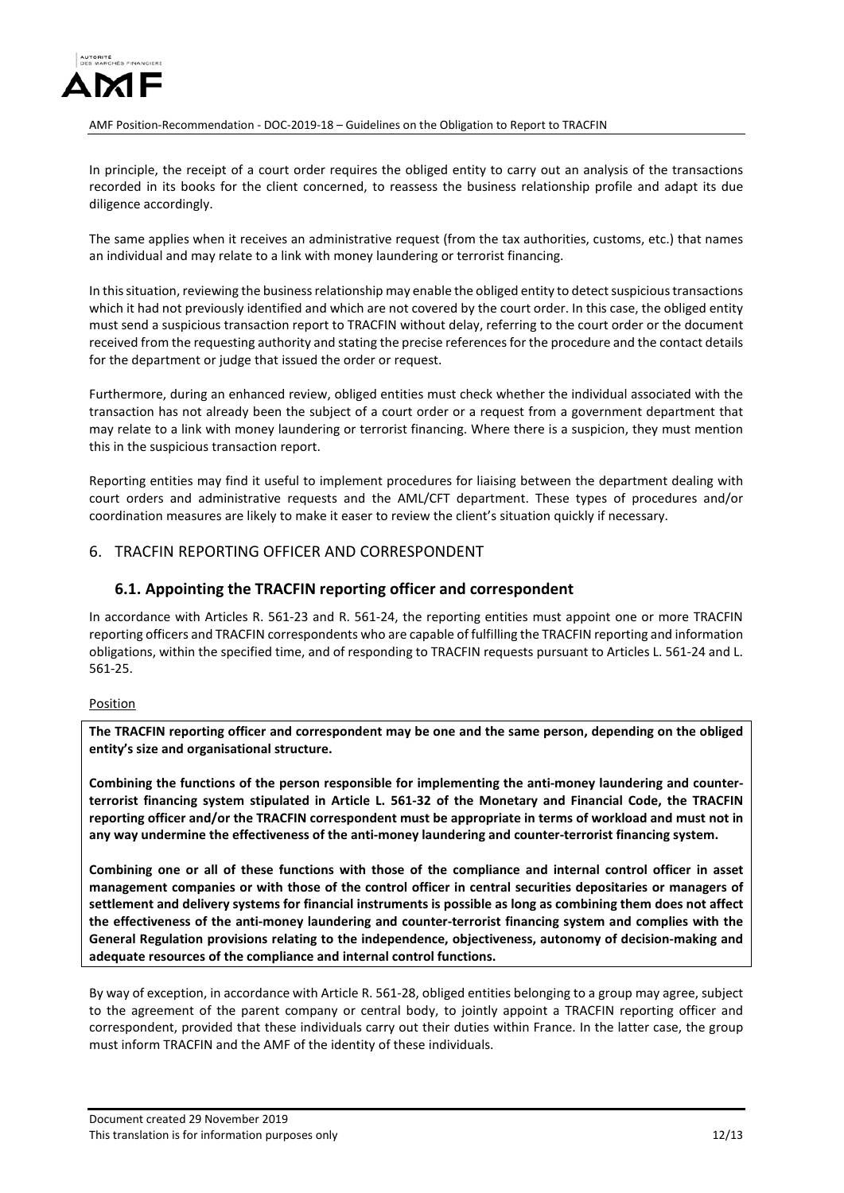

In principle, the receipt of a court order requires the obliged entity to carry out an analysis of the transactions recorded in its books for the client concerned, to reassess the business relationship profile and adapt its due diligence accordingly.

The same applies when it receives an administrative request (from the tax authorities, customs, etc.) that names an individual and may relate to a link with money laundering or terrorist financing.

In this situation, reviewing the business relationship may enable the obliged entity to detect suspicious transactions which it had not previously identified and which are not covered by the court order. In this case, the obliged entity must send a suspicious transaction report to TRACFIN without delay, referring to the court order or the document received from the requesting authority and stating the precise references for the procedure and the contact details for the department or judge that issued the order or request.

Furthermore, during an enhanced review, obliged entities must check whether the individual associated with the transaction has not already been the subject of a court order or a request from a government department that may relate to a link with money laundering or terrorist financing. Where there is a suspicion, they must mention this in the suspicious transaction report.

Reporting entities may find it useful to implement procedures for liaising between the department dealing with court orders and administrative requests and the AML/CFT department. These types of procedures and/or coordination measures are likely to make it easer to review the client's situation quickly if necessary.

### 6. TRACFIN REPORTING OFFICER AND CORRESPONDENT

### **6.1. Appointing the TRACFIN reporting officer and correspondent**

In accordance with Articles R. 561-23 and R. 561-24, the reporting entities must appoint one or more TRACFIN reporting officers and TRACFIN correspondents who are capable of fulfilling the TRACFIN reporting and information obligations, within the specified time, and of responding to TRACFIN requests pursuant to Articles L. 561-24 and L. 561-25.

#### Position

**The TRACFIN reporting officer and correspondent may be one and the same person, depending on the obliged entity's size and organisational structure.**

**Combining the functions of the person responsible for implementing the anti-money laundering and counterterrorist financing system stipulated in Article L. 561-32 of the Monetary and Financial Code, the TRACFIN reporting officer and/or the TRACFIN correspondent must be appropriate in terms of workload and must not in any way undermine the effectiveness of the anti-money laundering and counter-terrorist financing system.**

**Combining one or all of these functions with those of the compliance and internal control officer in asset management companies or with those of the control officer in central securities depositaries or managers of settlement and delivery systems for financial instruments is possible as long as combining them does not affect the effectiveness of the anti-money laundering and counter-terrorist financing system and complies with the General Regulation provisions relating to the independence, objectiveness, autonomy of decision-making and adequate resources of the compliance and internal control functions.** 

By way of exception, in accordance with Article R. 561-28, obliged entities belonging to a group may agree, subject to the agreement of the parent company or central body, to jointly appoint a TRACFIN reporting officer and correspondent, provided that these individuals carry out their duties within France. In the latter case, the group must inform TRACFIN and the AMF of the identity of these individuals.